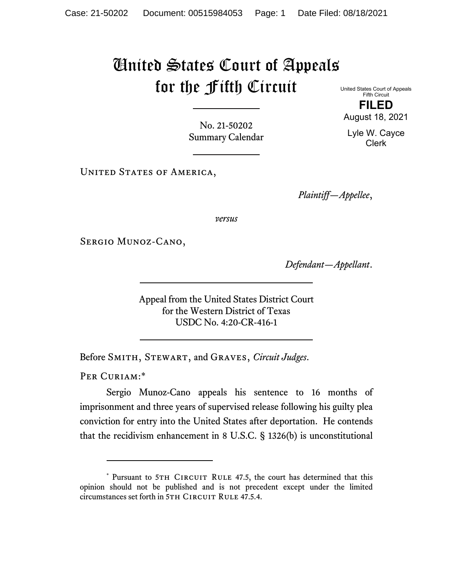## United States Court of Appeals for the Fifth Circuit

United States Court of Appeals Fifth Circuit **FILED**  August 18, 2021

Lyle W. Cayce Clerk

No. 21-50202 Summary Calendar

UNITED STATES OF AMERICA,

*Plaintiff—Appellee*,

*versus*

Sergio Munoz-Cano,

*Defendant—Appellant*.

Appeal from the United States District Court for the Western District of Texas USDC No. 4:20-CR-416-1

Before Smith, Stewart, and Graves, *Circuit Judges*.

PER CURIAM:\*

Sergio Munoz-Cano appeals his sentence to 16 months of imprisonment and three years of supervised release following his guilty plea conviction for entry into the United States after deportation. He contends that the recidivism enhancement in 8 U.S.C. § 1326(b) is unconstitutional

<sup>\*</sup> Pursuant to 5TH CIRCUIT RULE 47.5, the court has determined that this opinion should not be published and is not precedent except under the limited circumstances set forth in 5TH CIRCUIT RULE 47.5.4.